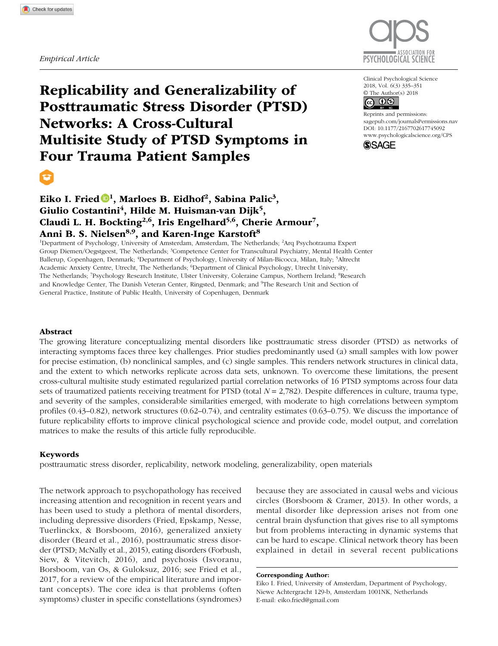0

*Empirical Article*



Clinical Psychological Science 2018, Vol. 6(3) 335–351 © The Author(s) 2018



Reprints and permissions: [sagepub.com/journalsPermissions.nav](https://sagepub.com/journalsPermissions.nav) DOI[: 10.1177/2167702617745092](https://doi.org/10.1177/2167702617745092) [www.psychologicalscience.org/](http://www.psychologicalscience.org/cps)CPS



Replicability and Generalizability of Posttraumatic Stress Disorder (PTSD) Networks: A Cross-Cultural Multisite Study of PTSD Symptoms in Four Trauma Patient Samples

Eiko I. Fried  $\mathbb{D}^1$ , Marloes B. Eidhof<sup>2</sup>, Sabina Palic<sup>3</sup>, Giulio Costantini<sup>4</sup>, Hilde M. Huisman-van Dijk<sup>5</sup>, Claudi L. H. Bockting<sup>2,6</sup>, Iris Engelhard<sup>5,6</sup>, Cherie Armour<sup>7</sup>, Anni B. S. Nielsen<sup>8,9</sup>, and Karen-Inge Karstoft<sup>8</sup>

<sup>1</sup>Department of Psychology, University of Amsterdam, Amsterdam, The Netherlands; <sup>2</sup>Arq Psychotrauma Expert Group Diemen/Oegstgeest, The Netherlands; <sup>3</sup>Competence Center for Transcultural Psychiatry, Mental Health Center Ballerup, Copenhagen, Denmark; <sup>4</sup>Department of Psychology, University of Milan-Bicocca, Milan, Italy; <sup>5</sup>Altrecht Academic Anxiety Centre, Utrecht, The Netherlands; <sup>6</sup>Department of Clinical Psychology, Utrecht University, The Netherlands; <sup>7</sup>Psychology Research Institute, Ulster University, Coleraine Campus, Northern Ireland; <sup>8</sup>Research and Knowledge Center, The Danish Veteran Center, Ringsted, Denmark; and <sup>9</sup>The Research Unit and Section of General Practice, Institute of Public Health, University of Copenhagen, Denmark

## Abstract

The growing literature conceptualizing mental disorders like posttraumatic stress disorder (PTSD) as networks of interacting symptoms faces three key challenges. Prior studies predominantly used (a) small samples with low power for precise estimation, (b) nonclinical samples, and (c) single samples. This renders network structures in clinical data, and the extent to which networks replicate across data sets, unknown. To overcome these limitations, the present cross-cultural multisite study estimated regularized partial correlation networks of 16 PTSD symptoms across four data sets of traumatized patients receiving treatment for PTSD (total *N* = 2,782). Despite differences in culture, trauma type, and severity of the samples, considerable similarities emerged, with moderate to high correlations between symptom profiles (0.43–0.82), network structures (0.62–0.74), and centrality estimates (0.63–0.75). We discuss the importance of future replicability efforts to improve clinical psychological science and provide code, model output, and correlation matrices to make the results of this article fully reproducible.

## Keywords

posttraumatic stress disorder, replicability, network modeling, generalizability, open materials

The network approach to psychopathology has received increasing attention and recognition in recent years and has been used to study a plethora of mental disorders, including depressive disorders (Fried, Epskamp, Nesse, Tuerlinckx, & Borsboom, 2016), generalized anxiety disorder (Beard et al., 2016), posttraumatic stress disorder (PTSD; McNally et al., 2015), eating disorders (Forbush, Siew, & Vitevitch, 2016), and psychosis (Isvoranu, Borsboom, van Os, & Guloksuz, 2016; see Fried et al., 2017, for a review of the empirical literature and important concepts). The core idea is that problems (often symptoms) cluster in specific constellations (syndromes)

because they are associated in causal webs and vicious circles (Borsboom & Cramer, 2013). In other words, a mental disorder like depression arises not from one central brain dysfunction that gives rise to all symptoms but from problems interacting in dynamic systems that can be hard to escape. Clinical network theory has been explained in detail in several recent publications

Eiko I. Fried, University of Amsterdam, Department of Psychology, Niewe Achtergracht 129-b, Amsterdam 1001NK, Netherlands E-mail: eiko.fried@gmail.com

Corresponding Author: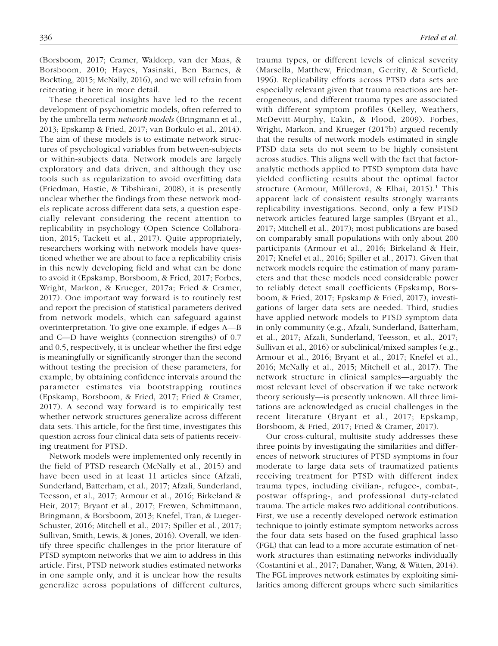(Borsboom, 2017; Cramer, Waldorp, van der Maas, & Borsboom, 2010; Hayes, Yasinski, Ben Barnes, & Bockting, 2015; McNally, 2016), and we will refrain from reiterating it here in more detail.

These theoretical insights have led to the recent development of psychometric models, often referred to by the umbrella term *network models* (Bringmann et al., 2013; Epskamp & Fried, 2017; van Borkulo et al., 2014). The aim of these models is to estimate network structures of psychological variables from between-subjects or within-subjects data. Network models are largely exploratory and data driven, and although they use tools such as regularization to avoid overfitting data (Friedman, Hastie, & Tibshirani, 2008), it is presently unclear whether the findings from these network models replicate across different data sets, a question especially relevant considering the recent attention to replicability in psychology (Open Science Collaboration, 2015; Tackett et al., 2017). Quite appropriately, researchers working with network models have questioned whether we are about to face a replicability crisis in this newly developing field and what can be done to avoid it (Epskamp, Borsboom, & Fried, 2017; Forbes, Wright, Markon, & Krueger, 2017a; Fried & Cramer, 2017). One important way forward is to routinely test and report the precision of statistical parameters derived from network models, which can safeguard against overinterpretation. To give one example, if edges A—B and C—D have weights (connection strengths) of 0.7 and 0.5, respectively, it is unclear whether the first edge is meaningfully or significantly stronger than the second without testing the precision of these parameters, for example, by obtaining confidence intervals around the parameter estimates via bootstrapping routines (Epskamp, Borsboom, & Fried, 2017; Fried & Cramer, 2017). A second way forward is to empirically test whether network structures generalize across different data sets. This article, for the first time, investigates this question across four clinical data sets of patients receiving treatment for PTSD.

Network models were implemented only recently in the field of PTSD research (McNally et al., 2015) and have been used in at least 11 articles since (Afzali, Sunderland, Batterham, et al., 2017; Afzali, Sunderland, Teesson, et al., 2017; Armour et al., 2016; Birkeland & Heir, 2017; Bryant et al., 2017; Frewen, Schmittmann, Bringmann, & Borsboom, 2013; Knefel, Tran, & Lueger-Schuster, 2016; Mitchell et al., 2017; Spiller et al., 2017; Sullivan, Smith, Lewis, & Jones, 2016). Overall, we identify three specific challenges in the prior literature of PTSD symptom networks that we aim to address in this article. First, PTSD network studies estimated networks in one sample only, and it is unclear how the results generalize across populations of different cultures, trauma types, or different levels of clinical severity (Marsella, Matthew, Friedman, Gerrity, & Scurfield, 1996). Replicability efforts across PTSD data sets are especially relevant given that trauma reactions are heterogeneous, and different trauma types are associated with different symptom profiles (Kelley, Weathers, McDevitt-Murphy, Eakin, & Flood, 2009). Forbes, Wright, Markon, and Krueger (2017b) argued recently that the results of network models estimated in single PTSD data sets do not seem to be highly consistent across studies. This aligns well with the fact that factoranalytic methods applied to PTSD symptom data have yielded conflicting results about the optimal factor structure (Armour, Műllerová, & Elhai, 2015).<sup>1</sup> This apparent lack of consistent results strongly warrants replicability investigations. Second, only a few PTSD network articles featured large samples (Bryant et al., 2017; Mitchell et al., 2017); most publications are based on comparably small populations with only about 200 participants (Armour et al., 2016; Birkeland & Heir, 2017; Knefel et al., 2016; Spiller et al., 2017). Given that network models require the estimation of many parameters and that these models need considerable power to reliably detect small coefficients (Epskamp, Borsboom, & Fried, 2017; Epskamp & Fried, 2017), investigations of larger data sets are needed. Third, studies have applied network models to PTSD symptom data in only community (e.g., Afzali, Sunderland, Batterham, et al., 2017; Afzali, Sunderland, Teesson, et al., 2017; Sullivan et al., 2016) or subclinical/mixed samples (e.g., Armour et al., 2016; Bryant et al., 2017; Knefel et al., 2016; McNally et al., 2015; Mitchell et al., 2017). The network structure in clinical samples—arguably the most relevant level of observation if we take network theory seriously—is presently unknown. All three limitations are acknowledged as crucial challenges in the recent literature (Bryant et al., 2017; Epskamp, Borsboom, & Fried, 2017; Fried & Cramer, 2017).

Our cross-cultural, multisite study addresses these three points by investigating the similarities and differences of network structures of PTSD symptoms in four moderate to large data sets of traumatized patients receiving treatment for PTSD with different index trauma types, including civilian-, refugee-, combat-, postwar offspring-, and professional duty-related trauma. The article makes two additional contributions. First, we use a recently developed network estimation technique to jointly estimate symptom networks across the four data sets based on the fused graphical lasso (FGL) that can lead to a more accurate estimation of network structures than estimating networks individually (Costantini et al., 2017; Danaher, Wang, & Witten, 2014). The FGL improves network estimates by exploiting similarities among different groups where such similarities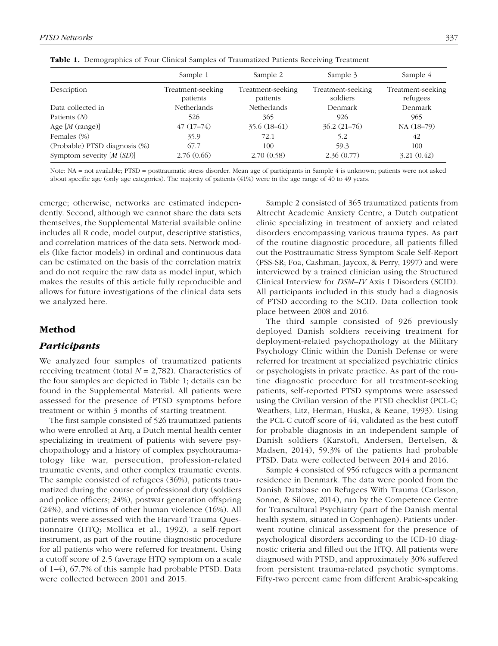|                               | Sample 1                      | Sample 2                      | Sample 3                      | Sample 4<br>Treatment-seeking<br>refugees |  |
|-------------------------------|-------------------------------|-------------------------------|-------------------------------|-------------------------------------------|--|
| Description                   | Treatment-seeking<br>patients | Treatment-seeking<br>patients | Treatment-seeking<br>soldiers |                                           |  |
| Data collected in             | <b>Netherlands</b>            | <b>Netherlands</b>            | Denmark                       | Denmark                                   |  |
| Patients $(N)$                | 526                           | 365                           | 926                           | 965                                       |  |
| Age $[M$ (range)]             | $47(17-74)$                   | $35.6(18-61)$                 | $36.2(21-76)$                 | NA (18-79)                                |  |
| Females $(\%)$                | 35.9                          | 72.1                          | 5.2                           | 42                                        |  |
| (Probable) PTSD diagnosis (%) | 67.7                          | 100                           | 59.3                          | 100                                       |  |
| Symptom severity $[M(SD)]$    | 2.76(0.66)                    | 2.70(0.58)                    | 2.36(0.77)                    | 3.21(0.42)                                |  |

Table 1. Demographics of Four Clinical Samples of Traumatized Patients Receiving Treatment

Note: NA = not available; PTSD = posttraumatic stress disorder. Mean age of participants in Sample 4 is unknown; patients were not asked about specific age (only age categories). The majority of patients (41%) were in the age range of 40 to 49 years.

emerge; otherwise, networks are estimated independently. Second, although we cannot share the data sets themselves, the Supplemental Material available online includes all R code, model output, descriptive statistics, and correlation matrices of the data sets. Network models (like factor models) in ordinal and continuous data can be estimated on the basis of the correlation matrix and do not require the raw data as model input, which makes the results of this article fully reproducible and allows for future investigations of the clinical data sets we analyzed here.

# Method

## *Participants*

We analyzed four samples of traumatized patients receiving treatment (total  $N = 2,782$ ). Characteristics of the four samples are depicted in Table 1; details can be found in the Supplemental Material. All patients were assessed for the presence of PTSD symptoms before treatment or within 3 months of starting treatment.

The first sample consisted of 526 traumatized patients who were enrolled at Arq, a Dutch mental health center specializing in treatment of patients with severe psychopathology and a history of complex psychotraumatology like war, persecution, profession-related traumatic events, and other complex traumatic events. The sample consisted of refugees (36%), patients traumatized during the course of professional duty (soldiers and police officers; 24%), postwar generation offspring (24%), and victims of other human violence (16%). All patients were assessed with the Harvard Trauma Questionnaire (HTQ; Mollica et al., 1992), a self-report instrument, as part of the routine diagnostic procedure for all patients who were referred for treatment. Using a cutoff score of 2.5 (average HTQ symptom on a scale of 1–4), 67.7% of this sample had probable PTSD. Data were collected between 2001 and 2015.

Sample 2 consisted of 365 traumatized patients from Altrecht Academic Anxiety Centre, a Dutch outpatient clinic specializing in treatment of anxiety and related disorders encompassing various trauma types. As part of the routine diagnostic procedure, all patients filled out the Posttraumatic Stress Symptom Scale Self-Report (PSS-SR; Foa, Cashman, Jaycox, & Perry, 1997) and were interviewed by a trained clinician using the Structured Clinical Interview for *DSM–IV* Axis I Disorders (SCID). All participants included in this study had a diagnosis of PTSD according to the SCID. Data collection took place between 2008 and 2016.

The third sample consisted of 926 previously deployed Danish soldiers receiving treatment for deployment-related psychopathology at the Military Psychology Clinic within the Danish Defense or were referred for treatment at specialized psychiatric clinics or psychologists in private practice. As part of the routine diagnostic procedure for all treatment-seeking patients, self-reported PTSD symptoms were assessed using the Civilian version of the PTSD checklist (PCL-C; Weathers, Litz, Herman, Huska, & Keane, 1993). Using the PCL-C cutoff score of 44, validated as the best cutoff for probable diagnosis in an independent sample of Danish soldiers (Karstoft, Andersen, Bertelsen, & Madsen, 2014), 59.3% of the patients had probable PTSD. Data were collected between 2014 and 2016.

Sample 4 consisted of 956 refugees with a permanent residence in Denmark. The data were pooled from the Danish Database on Refugees With Trauma (Carlsson, Sonne, & Silove, 2014), run by the Competence Centre for Transcultural Psychiatry (part of the Danish mental health system, situated in Copenhagen). Patients underwent routine clinical assessment for the presence of psychological disorders according to the ICD-10 diagnostic criteria and filled out the HTQ. All patients were diagnosed with PTSD, and approximately 30% suffered from persistent trauma-related psychotic symptoms. Fifty-two percent came from different Arabic-speaking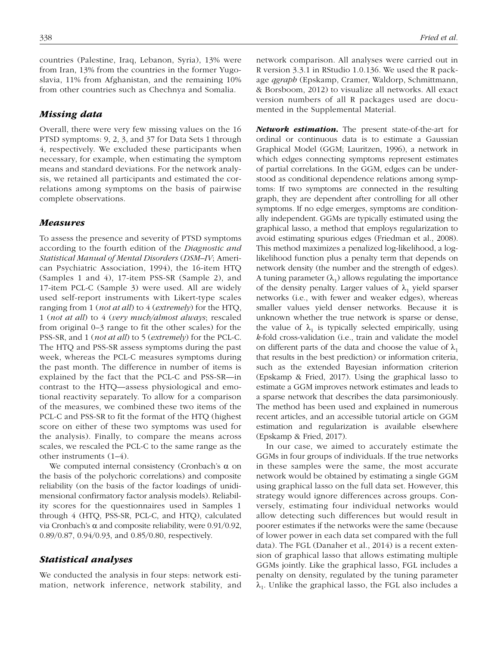countries (Palestine, Iraq, Lebanon, Syria), 13% were from Iran, 13% from the countries in the former Yugoslavia, 11% from Afghanistan, and the remaining 10% from other countries such as Chechnya and Somalia.

## *Missing data*

Overall, there were very few missing values on the 16 PTSD symptoms: 9, 2, 3, and 37 for Data Sets 1 through 4, respectively. We excluded these participants when necessary, for example, when estimating the symptom means and standard deviations. For the network analysis, we retained all participants and estimated the correlations among symptoms on the basis of pairwise complete observations.

## *Measures*

To assess the presence and severity of PTSD symptoms according to the fourth edition of the *Diagnostic and Statistical Manual of Mental Disorders* (*DSM–IV*; American Psychiatric Association, 1994), the 16-item HTQ (Samples 1 and 4), 17-item PSS-SR (Sample 2), and 17-item PCL-C (Sample 3) were used. All are widely used self-report instruments with Likert-type scales ranging from 1 (*not at all*) to 4 (*extremely*) for the HTQ, 1 (*not at all*) to 4 (*very much/almost always*; rescaled from original 0–3 range to fit the other scales) for the PSS-SR, and 1 (*not at all*) to 5 (*extremely*) for the PCL-C. The HTQ and PSS-SR assess symptoms during the past week, whereas the PCL-C measures symptoms during the past month. The difference in number of items is explained by the fact that the PCL-C and PSS-SR—in contrast to the HTQ—assess physiological and emotional reactivity separately. To allow for a comparison of the measures, we combined these two items of the PCL-C and PSS-SR to fit the format of the HTQ (highest score on either of these two symptoms was used for the analysis). Finally, to compare the means across scales, we rescaled the PCL-C to the same range as the other instruments (1–4).

We computed internal consistency (Cronbach's  $\alpha$  on the basis of the polychoric correlations) and composite reliability (on the basis of the factor loadings of unidimensional confirmatory factor analysis models). Reliability scores for the questionnaires used in Samples 1 through 4 (HTQ, PSS-SR, PCL-C, and HTQ), calculated via Cronbach's  $\alpha$  and composite reliability, were 0.91/0.92, 0.89/0.87, 0.94/0.93, and 0.85/0.80, respectively.

## *Statistical analyses*

We conducted the analysis in four steps: network estimation, network inference, network stability, and network comparison. All analyses were carried out in R version 3.3.1 in RStudio 1.0.136. We used the R package *qgraph* (Epskamp, Cramer, Waldorp, Schmittmann, & Borsboom, 2012) to visualize all networks. All exact version numbers of all R packages used are documented in the Supplemental Material.

*Network estimation.* The present state-of-the-art for ordinal or continuous data is to estimate a Gaussian graphical model (GGM; Lauritzen, 1996), a network in which edges connecting symptoms represent estimates of partial correlations. In the GGM, edges can be understood as conditional dependence relations among symptoms: If two symptoms are connected in the resulting graph, they are dependent after controlling for all other symptoms. If no edge emerges, symptoms are conditionally independent. GGMs are typically estimated using the graphical lasso, a method that employs regularization to avoid estimating spurious edges (Friedman et al., 2008). This method maximizes a penalized log-likelihood, a loglikelihood function plus a penalty term that depends on network density (the number and the strength of edges). A tuning parameter  $(\lambda_1)$  allows regulating the importance of the density penalty. Larger values of  $\lambda_1$  yield sparser networks (i.e., with fewer and weaker edges), whereas smaller values yield denser networks. Because it is unknown whether the true network is sparse or dense, the value of  $\lambda_1$  is typically selected empirically, using *k*-fold cross-validation (i.e., train and validate the model on different parts of the data and choose the value of  $\lambda_1$ that results in the best prediction) or information criteria, such as the extended Bayesian information criterion (Epskamp & Fried, 2017). Using the graphical lasso to estimate a GGM improves network estimates and leads to a sparse network that describes the data parsimoniously. The method has been used and explained in numerous recent articles, and an accessible tutorial article on GGM estimation and regularization is available elsewhere (Epskamp & Fried, 2017).

In our case, we aimed to accurately estimate the GGMs in four groups of individuals. If the true networks in these samples were the same, the most accurate network would be obtained by estimating a single GGM using graphical lasso on the full data set. However, this strategy would ignore differences across groups. Conversely, estimating four individual networks would allow detecting such differences but would result in poorer estimates if the networks were the same (because of lower power in each data set compared with the full data). The FGL (Danaher et al., 2014) is a recent extension of graphical lasso that allows estimating multiple GGMs jointly. Like the graphical lasso, FGL includes a penalty on density, regulated by the tuning parameter  $\lambda_1$ . Unlike the graphical lasso, the FGL also includes a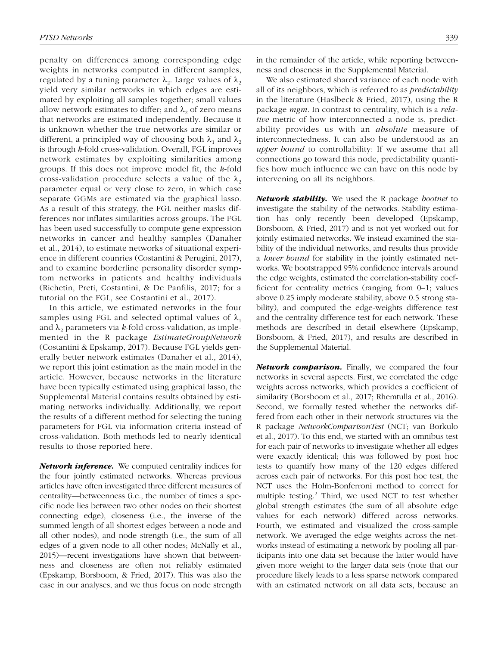penalty on differences among corresponding edge weights in networks computed in different samples, regulated by a tuning parameter  $\lambda_2$ . Large values of  $\lambda_2$ yield very similar networks in which edges are estimated by exploiting all samples together; small values allow network estimates to differ; and  $\lambda_2$  of zero means that networks are estimated independently. Because it is unknown whether the true networks are similar or different, a principled way of choosing both  $\lambda_1$  and  $\lambda_2$ is through *k*-fold cross-validation. Overall, FGL improves network estimates by exploiting similarities among groups. If this does not improve model fit, the *k*-fold cross-validation procedure selects a value of the  $\lambda_2$ parameter equal or very close to zero, in which case separate GGMs are estimated via the graphical lasso. As a result of this strategy, the FGL neither masks differences nor inflates similarities across groups. The FGL has been used successfully to compute gene expression networks in cancer and healthy samples (Danaher et al., 2014), to estimate networks of situational experience in different counries (Costantini & Perugini, 2017), and to examine borderline personality disorder symptom networks in patients and healthy individuals (Richetin, Preti, Costantini, & De Panfilis, 2017; for a tutorial on the FGL, see Costantini et al., 2017).

In this article, we estimated networks in the four samples using FGL and selected optimal values of  $\lambda_1$ and  $\lambda_2$  parameters via *k*-fold cross-validation, as implemented in the R package *EstimateGroupNetwork* (Costantini & Epskamp, 2017). Because FGL yields generally better network estimates (Danaher et al., 2014), we report this joint estimation as the main model in the article. However, because networks in the literature have been typically estimated using graphical lasso, the Supplemental Material contains results obtained by estimating networks individually. Additionally, we report the results of a different method for selecting the tuning parameters for FGL via information criteria instead of cross-validation. Both methods led to nearly identical results to those reported here.

*Network inference.* We computed centrality indices for the four jointly estimated networks. Whereas previous articles have often investigated three different measures of centrality—betweenness (i.e., the number of times a specific node lies between two other nodes on their shortest connecting edge), closeness (i.e., the inverse of the summed length of all shortest edges between a node and all other nodes), and node strength (i.e., the sum of all edges of a given node to all other nodes; McNally et al., 2015)—recent investigations have shown that betweenness and closeness are often not reliably estimated (Epskamp, Borsboom, & Fried, 2017). This was also the case in our analyses, and we thus focus on node strength in the remainder of the article, while reporting betweenness and closeness in the Supplemental Material.

We also estimated shared variance of each node with all of its neighbors, which is referred to as *predictability* in the literature (Haslbeck & Fried, 2017), using the R package *mgm*. In contrast to centrality, which is a *relative* metric of how interconnected a node is, predictability provides us with an *absolute* measure of interconnectedness. It can also be understood as an *upper bound* to controllability: If we assume that all connections go toward this node, predictability quantifies how much influence we can have on this node by intervening on all its neighbors.

*Network stability.* We used the R package *bootnet* to investigate the stability of the networks. Stability estimation has only recently been developed (Epskamp, Borsboom, & Fried, 2017) and is not yet worked out for jointly estimated networks. We instead examined the stability of the individual networks, and results thus provide a *lower bound* for stability in the jointly estimated networks. We bootstrapped 95% confidence intervals around the edge weights, estimated the correlation-stability coefficient for centrality metrics (ranging from 0–1; values above 0.25 imply moderate stability, above 0.5 strong stability), and computed the edge-weights difference test and the centrality difference test for each network. These methods are described in detail elsewhere (Epskamp, Borsboom, & Fried, 2017), and results are described in the Supplemental Material.

*Network comparison.* Finally, we compared the four networks in several aspects. First, we correlated the edge weights across networks, which provides a coefficient of similarity (Borsboom et al., 2017; Rhemtulla et al., 2016). Second, we formally tested whether the networks differed from each other in their network structures via the R package *NetworkComparisonTest* (NCT; van Borkulo et al., 2017). To this end, we started with an omnibus test for each pair of networks to investigate whether all edges were exactly identical; this was followed by post hoc tests to quantify how many of the 120 edges differed across each pair of networks. For this post hoc test, the NCT uses the Holm-Bonferroni method to correct for multiple testing.<sup>2</sup> Third, we used NCT to test whether global strength estimates (the sum of all absolute edge values for each network) differed across networks. Fourth, we estimated and visualized the cross-sample network. We averaged the edge weights across the networks instead of estimating a network by pooling all participants into one data set because the latter would have given more weight to the larger data sets (note that our procedure likely leads to a less sparse network compared with an estimated network on all data sets, because an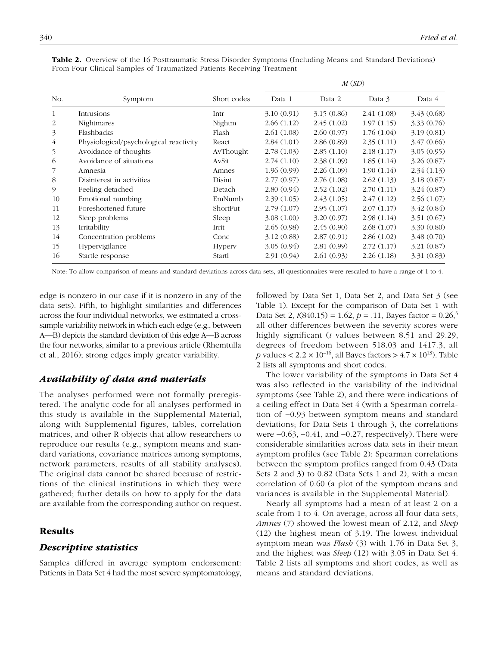|     | Symptom                                | Short codes | M(SD)      |            |            |            |
|-----|----------------------------------------|-------------|------------|------------|------------|------------|
| No. |                                        |             | Data 1     | Data 2     | Data 3     | Data 4     |
| 1   | Intrusions                             | Intr        | 3.10(0.91) | 3.15(0.86) | 2.41(1.08) | 3.43(0.68) |
| 2   | Nightmares                             | Nightm      | 2.66(1.12) | 2.45(1.02) | 1.97(1.15) | 3.33(0.76) |
| 3   | Flashbacks                             | Flash       | 2.61(1.08) | 2.60(0.97) | 1.76(1.04) | 3.19(0.81) |
| 4   | Physiological/psychological reactivity | React       | 2.84(1.01) | 2.86(0.89) | 2.35(1.11) | 3.47(0.66) |
| 5   | Avoidance of thoughts                  | AvThought   | 2.78(1.03) | 2.85(1.10) | 2.18(1.17) | 3.05(0.95) |
| 6   | Avoidance of situations                | AvSit       | 2.74(1.10) | 2.38(1.09) | 1.85(1.14) | 3.26(0.87) |
|     | Amnesia                                | Amnes       | 1.96(0.99) | 2.26(1.09) | 1.90(1.14) | 2.34(1.13) |
| 8   | Disinterest in activities              | Disint      | 2.77(0.97) | 2.76(1.08) | 2.62(1.13) | 3.18(0.87) |
| 9   | Feeling detached                       | Detach      | 2.80(0.94) | 2.52(1.02) | 2.70(1.11) | 3.24(0.87) |
| 10  | Emotional numbing                      | EmNumb      | 2.39(1.05) | 2.43(1.05) | 2.47(1.12) | 2.56(1.07) |
| 11  | Foreshortened future                   | ShortFut    | 2.79(1.07) | 2.95(1.07) | 2.07(1.17) | 3.42(0.84) |
| 12  | Sleep problems                         | Sleep       | 3.08(1.00) | 3.20(0.97) | 2.98(1.14) | 3.51(0.67) |
| 13  | Irritability                           | Irrit       | 2.65(0.98) | 2.45(0.90) | 2.68(1.07) | 3.30(0.80) |
| 14  | Concentration problems                 | Conc        | 3.12(0.88) | 2.87(0.91) | 2.86(1.02) | 3.48(0.70) |
| 15  | Hypervigilance                         | Hyperv      | 3.05(0.94) | 2.81(0.99) | 2.72(1.17) | 3.21(0.87) |
| 16  | Startle response                       | Startl      | 2.91(0.94) | 2.61(0.93) | 2.26(1.18) | 3.31(0.83) |

Table 2. Overview of the 16 Posttraumatic Stress Disorder Symptoms (Including Means and Standard Deviations) From Four Clinical Samples of Traumatized Patients Receiving Treatment

Note: To allow comparison of means and standard deviations across data sets, all questionnaires were rescaled to have a range of 1 to 4.

edge is nonzero in our case if it is nonzero in any of the data sets). Fifth, to highlight similarities and differences across the four individual networks, we estimated a crosssample variability network in which each edge (e.g., between A—B) depicts the standard deviation of this edge A—B across the four networks, similar to a previous article (Rhemtulla et al., 2016); strong edges imply greater variability.

# *Availability of data and materials*

The analyses performed were not formally preregistered. The analytic code for all analyses performed in this study is available in the Supplemental Material, along with Supplemental figures, tables, correlation matrices, and other R objects that allow researchers to reproduce our results (e.g., symptom means and standard variations, covariance matrices among symptoms, network parameters, results of all stability analyses). The original data cannot be shared because of restrictions of the clinical institutions in which they were gathered; further details on how to apply for the data are available from the corresponding author on request.

# Results

# *Descriptive statistics*

Samples differed in average symptom endorsement: Patients in Data Set 4 had the most severe symptomatology, followed by Data Set 1, Data Set 2, and Data Set 3 (see Table 1). Except for the comparison of Data Set 1 with Data Set 2,  $t(840.15) = 1.62$ ,  $p = .11$ , Bayes factor = 0.26,<sup>3</sup> all other differences between the severity scores were highly significant (*t* values between 8.51 and 29.29, degrees of freedom between 518.03 and 1417.3, all  $p$  values < 2.2 × 10<sup>-16</sup>, all Bayes factors > 4.7 × 10<sup>13</sup>). Table 2 lists all symptoms and short codes.

The lower variability of the symptoms in Data Set 4 was also reflected in the variability of the individual symptoms (see Table 2), and there were indications of a ceiling effect in Data Set 4 (with a Spearman correlation of −0.93 between symptom means and standard deviations; for Data Sets 1 through 3, the correlations were −0.63, −0.41, and −0.27, respectively). There were considerable similarities across data sets in their mean symptom profiles (see Table 2): Spearman correlations between the symptom profiles ranged from 0.43 (Data Sets 2 and 3) to 0.82 (Data Sets 1 and 2), with a mean correlation of 0.60 (a plot of the symptom means and variances is available in the Supplemental Material).

Nearly all symptoms had a mean of at least 2 on a scale from 1 to 4. On average, across all four data sets, *Amnes* (7) showed the lowest mean of 2.12, and *Sleep* (12) the highest mean of 3.19. The lowest individual symptom mean was *Flash* (3) with 1.76 in Data Set 3, and the highest was *Sleep* (12) with 3.05 in Data Set 4. Table 2 lists all symptoms and short codes, as well as means and standard deviations.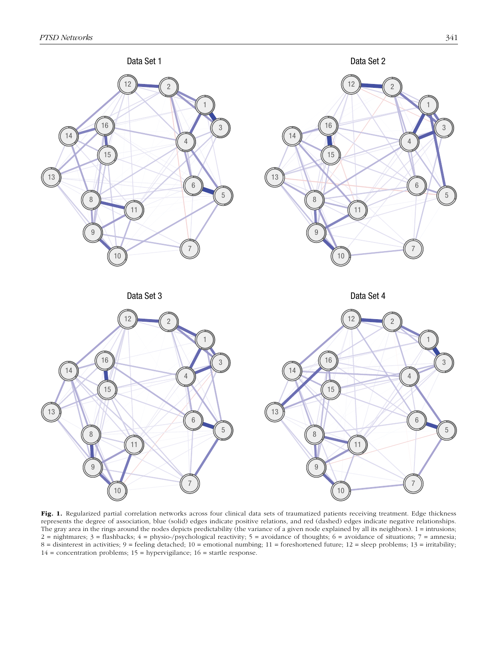

Fig. 1. Regularized partial correlation networks across four clinical data sets of traumatized patients receiving treatment. Edge thickness represents the degree of association, blue (solid) edges indicate positive relations, and red (dashed) edges indicate negative relationships. The gray area in the rings around the nodes depicts predictability (the variance of a given node explained by all its neighbors). 1 = intrusions;  $2 =$  nightmares;  $3 =$  flashbacks;  $4 =$  physio-/psychological reactivity;  $5 =$  avoidance of thoughts;  $6 =$  avoidance of situations;  $7 =$  amnesia; 8 = disinterest in activities; 9 = feeling detached; 10 = emotional numbing; 11 = foreshortened future; 12 = sleep problems; 13 = irritability; = concentration problems;  $15$  = hypervigilance;  $16$  = startle response.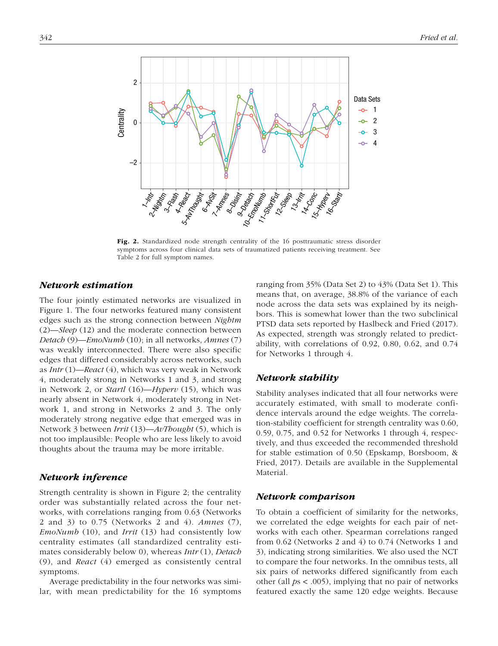

Fig. 2. Standardized node strength centrality of the 16 posttraumatic stress disorder symptoms across four clinical data sets of traumatized patients receiving treatment. See Table 2 for full symptom names.

# *Network estimation*

The four jointly estimated networks are visualized in Figure 1. The four networks featured many consistent edges such as the strong connection between *Nightm* (2)—*Sleep* (12) and the moderate connection between *Detach* (9)—*EmoNumb* (10); in all networks, *Amnes* (7) was weakly interconnected. There were also specific edges that differed considerably across networks, such as *Intr* (1)—*React* (4), which was very weak in Network 4, moderately strong in Networks 1 and 3, and strong in Network 2, or *Startl* (16)—*Hyperv* (15), which was nearly absent in Network 4, moderately strong in Network 1, and strong in Networks 2 and 3. The only moderately strong negative edge that emerged was in Network 3 between *Irrit* (13)—*AvThought* (5), which is not too implausible: People who are less likely to avoid thoughts about the trauma may be more irritable.

## *Network inference*

Strength centrality is shown in Figure 2; the centrality order was substantially related across the four networks, with correlations ranging from 0.63 (Networks 2 and 3) to 0.75 (Networks 2 and 4). *Amnes* (7), *EmoNumb* (10), and *Irrit* (13) had consistently low centrality estimates (all standardized centrality estimates considerably below 0), whereas *Intr* (1), *Detach* (9), and *React* (4) emerged as consistently central symptoms.

Average predictability in the four networks was similar, with mean predictability for the 16 symptoms ranging from 35% (Data Set 2) to 43% (Data Set 1). This means that, on average, 38.8% of the variance of each node across the data sets was explained by its neighbors. This is somewhat lower than the two subclinical PTSD data sets reported by Haslbeck and Fried (2017). As expected, strength was strongly related to predictability, with correlations of 0.92, 0.80, 0.62, and 0.74 for Networks 1 through 4.

## *Network stability*

Stability analyses indicated that all four networks were accurately estimated, with small to moderate confidence intervals around the edge weights. The correlation-stability coefficient for strength centrality was 0.60, 0.59, 0.75, and 0.52 for Networks 1 through 4, respectively, and thus exceeded the recommended threshold for stable estimation of 0.50 (Epskamp, Borsboom, & Fried, 2017). Details are available in the Supplemental Material.

## *Network comparison*

To obtain a coefficient of similarity for the networks, we correlated the edge weights for each pair of networks with each other. Spearman correlations ranged from 0.62 (Networks 2 and 4) to 0.74 (Networks 1 and 3), indicating strong similarities. We also used the NCT to compare the four networks. In the omnibus tests, all six pairs of networks differed significantly from each other (all *p*s < .005), implying that no pair of networks featured exactly the same 120 edge weights. Because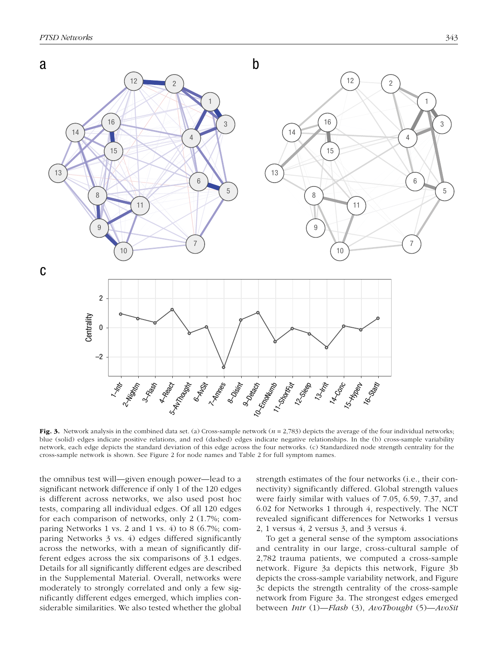

Fig. 3. Network analysis in the combined data set. (a) Cross-sample network ( $n = 2,783$ ) depicts the average of the four individual networks; blue (solid) edges indicate positive relations, and red (dashed) edges indicate negative relationships. In the (b) cross-sample variability network, each edge depicts the standard deviation of this edge across the four networks. (c) Standardized node strength centrality for the cross-sample network is shown. See Figure 2 for node names and Table 2 for full symptom names.

the omnibus test will—given enough power—lead to a significant network difference if only 1 of the 120 edges is different across networks, we also used post hoc tests, comparing all individual edges. Of all 120 edges for each comparison of networks, only 2 (1.7%; comparing Networks 1 vs. 2 and 1 vs. 4) to 8 (6.7%; comparing Networks 3 vs. 4) edges differed significantly across the networks, with a mean of significantly different edges across the six comparisons of 3.1 edges. Details for all significantly different edges are described in the Supplemental Material. Overall, networks were moderately to strongly correlated and only a few significantly different edges emerged, which implies considerable similarities. We also tested whether the global strength estimates of the four networks (i.e., their connectivity) significantly differed. Global strength values were fairly similar with values of 7.05, 6.59, 7.37, and 6.02 for Networks 1 through 4, respectively. The NCT revealed significant differences for Networks 1 versus 2, 1 versus 4, 2 versus 3, and 3 versus 4.

To get a general sense of the symptom associations and centrality in our large, cross-cultural sample of 2,782 trauma patients, we computed a cross-sample network. Figure 3a depicts this network, Figure 3b depicts the cross-sample variability network, and Figure 3c depicts the strength centrality of the cross-sample network from Figure 3a. The strongest edges emerged between *Intr* (1)—*Flash* (3), *AvoThought* (5)—*AvoSit*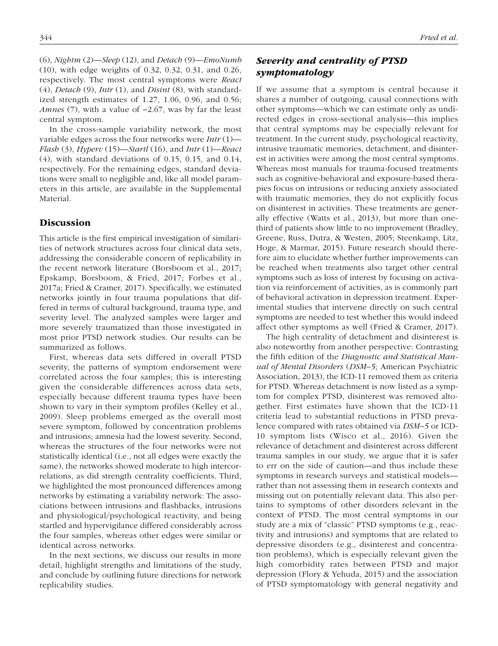(6), *Nightm* (2)—*Sleep* (12), and *Detach* (9)—*EmoNumb* (10), with edge weights of 0.32, 0.32, 0.31, and 0.26, respectively. The most central symptoms were *React* (4), *Detach* (9), *Intr* (1), and *Disint* (8), with standardized strength estimates of 1.27, 1.06, 0.96, and 0.56; *Amnes* (7), with a value of −2.67, was by far the least central symptom.

In the cross-sample variability network, the most variable edges across the four networks were *Intr* (1)— *Flash* (3), *Hyperv* (15)—*Startl* (16), and *Intr* (1)—*React* (4), with standard deviations of 0.15, 0.15, and 0.14, respectively. For the remaining edges, standard deviations were small to negligible and, like all model parameters in this article, are available in the Supplemental Material.

## **Discussion**

This article is the first empirical investigation of similarities of network structures across four clinical data sets, addressing the considerable concern of replicability in the recent network literature (Borsboom et al., 2017; Epskamp, Borsboom, & Fried, 2017; Forbes et al., 2017a; Fried & Cramer, 2017). Specifically, we estimated networks jointly in four trauma populations that differed in terms of cultural background, trauma type, and severity level. The analyzed samples were larger and more severely traumatized than those investigated in most prior PTSD network studies. Our results can be summarized as follows.

First, whereas data sets differed in overall PTSD severity, the patterns of symptom endorsement were correlated across the four samples; this is interesting given the considerable differences across data sets, especially because different trauma types have been shown to vary in their symptom profiles (Kelley et al., 2009). Sleep problems emerged as the overall most severe symptom, followed by concentration problems and intrusions; amnesia had the lowest severity. Second, whereas the structures of the four networks were not statistically identical (i.e., not all edges were exactly the same), the networks showed moderate to high intercorrelations, as did strength centrality coefficients. Third, we highlighted the most pronounced differences among networks by estimating a variability network: The associations between intrusions and flashbacks, intrusions and physiological/psychological reactivity, and being startled and hypervigilance differed considerably across the four samples, whereas other edges were similar or identical across networks.

In the next sections, we discuss our results in more detail, highlight strengths and limitations of the study, and conclude by outlining future directions for network replicability studies.

# *Severity and centrality of PTSD symptomatology*

If we assume that a symptom is central because it shares a number of outgoing, causal connections with other symptoms—which we can estimate only as undirected edges in cross-sectional analysis—this implies that central symptoms may be especially relevant for treatment. In the current study, psychological reactivity, intrusive traumatic memories, detachment, and disinterest in activities were among the most central symptoms. Whereas most manuals for trauma-focused treatments such as cognitive-behavioral and exposure-based therapies focus on intrusions or reducing anxiety associated with traumatic memories, they do not explicitly focus on disinterest in activities. These treatments are generally effective (Watts et al., 2013), but more than onethird of patients show little to no improvement (Bradley, Greene, Russ, Dutra, & Westen, 2005; Steenkamp, Litz, Hoge, & Marmar, 2015). Future research should therefore aim to elucidate whether further improvements can be reached when treatments also target other central symptoms such as loss of interest by focusing on activation via reinforcement of activities, as is commonly part of behavioral activation in depression treatment. Experimental studies that intervene directly on such central symptoms are needed to test whether this would indeed affect other symptoms as well (Fried & Cramer, 2017).

The high centrality of detachment and disinterest is also noteworthy from another perspective: Contrasting the fifth edition of the *Diagnostic and Statistical Manual of Mental Disorders* (*DSM–5*; American Psychiatric Association, 2013), the ICD-11 removed them as criteria for PTSD. Whereas detachment is now listed as a symptom for complex PTSD, disinterest was removed altogether. First estimates have shown that the ICD-11 criteria lead to substantial reductions in PTSD prevalence compared with rates obtained via *DSM–5* or ICD-10 symptom lists (Wisco et al., 2016). Given the relevance of detachment and disinterest across different trauma samples in our study, we argue that it is safer to err on the side of caution—and thus include these symptoms in research surveys and statistical models rather than not assessing them in research contexts and missing out on potentially relevant data. This also pertains to symptoms of other disorders relevant in the context of PTSD. The most central symptoms in our study are a mix of "classic" PTSD symptoms (e.g., reactivity and intrusions) and symptoms that are related to depressive disorders (e.g., disinterest and concentration problems), which is especially relevant given the high comorbidity rates between PTSD and major depression (Flory & Yehuda, 2015) and the association of PTSD symptomatology with general negativity and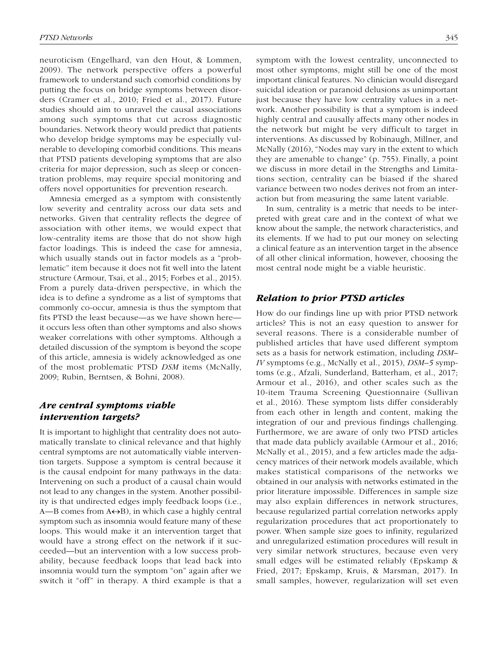neuroticism (Engelhard, van den Hout, & Lommen, 2009). The network perspective offers a powerful framework to understand such comorbid conditions by putting the focus on bridge symptoms between disorders (Cramer et al., 2010; Fried et al., 2017). Future studies should aim to unravel the causal associations among such symptoms that cut across diagnostic boundaries. Network theory would predict that patients who develop bridge symptoms may be especially vulnerable to developing comorbid conditions. This means that PTSD patients developing symptoms that are also criteria for major depression, such as sleep or concentration problems, may require special monitoring and offers novel opportunities for prevention research.

Amnesia emerged as a symptom with consistently low severity and centrality across our data sets and networks. Given that centrality reflects the degree of association with other items, we would expect that low-centrality items are those that do not show high factor loadings. This is indeed the case for amnesia, which usually stands out in factor models as a "problematic" item because it does not fit well into the latent structure (Armour, Tsai, et al., 2015; Forbes et al., 2015). From a purely data-driven perspective, in which the idea is to define a syndrome as a list of symptoms that commonly co-occur, amnesia is thus the symptom that fits PTSD the least because—as we have shown here it occurs less often than other symptoms and also shows weaker correlations with other symptoms. Although a detailed discussion of the symptom is beyond the scope of this article, amnesia is widely acknowledged as one of the most problematic PTSD *DSM* items (McNally, 2009; Rubin, Berntsen, & Bohni, 2008).

# *Are central symptoms viable intervention targets?*

It is important to highlight that centrality does not automatically translate to clinical relevance and that highly central symptoms are not automatically viable intervention targets. Suppose a symptom is central because it is the causal endpoint for many pathways in the data: Intervening on such a product of a causal chain would not lead to any changes in the system. Another possibility is that undirected edges imply feedback loops (i.e., A—B comes from  $A \leftrightarrow B$ ), in which case a highly central symptom such as insomnia would feature many of these loops. This would make it an intervention target that would have a strong effect on the network if it succeeded—but an intervention with a low success probability, because feedback loops that lead back into insomnia would turn the symptom "on" again after we switch it "off" in therapy. A third example is that a symptom with the lowest centrality, unconnected to most other symptoms, might still be one of the most important clinical features. No clinician would disregard suicidal ideation or paranoid delusions as unimportant just because they have low centrality values in a network. Another possibility is that a symptom is indeed highly central and causally affects many other nodes in the network but might be very difficult to target in interventions. As discussed by Robinaugh, Millner, and McNally (2016), "Nodes may vary in the extent to which they are amenable to change" (p. 755). Finally, a point we discuss in more detail in the Strengths and Limitations section, centrality can be biased if the shared variance between two nodes derives not from an interaction but from measuring the same latent variable.

In sum, centrality is a metric that needs to be interpreted with great care and in the context of what we know about the sample, the network characteristics, and its elements. If we had to put our money on selecting a clinical feature as an intervention target in the absence of all other clinical information, however, choosing the most central node might be a viable heuristic.

## *Relation to prior PTSD articles*

How do our findings line up with prior PTSD network articles? This is not an easy question to answer for several reasons. There is a considerable number of published articles that have used different symptom sets as a basis for network estimation, including *DSM– IV* symptoms (e.g., McNally et al., 2015), *DSM–5* symptoms (e.g., Afzali, Sunderland, Batterham, et al., 2017; Armour et al., 2016), and other scales such as the 10-item Trauma Screening Questionnaire (Sullivan et al., 2016). These symptom lists differ considerably from each other in length and content, making the integration of our and previous findings challenging. Furthermore, we are aware of only two PTSD articles that made data publicly available (Armour et al., 2016; McNally et al., 2015), and a few articles made the adjacency matrices of their network models available, which makes statistical comparisons of the networks we obtained in our analysis with networks estimated in the prior literature impossible. Differences in sample size may also explain differences in network structures, because regularized partial correlation networks apply regularization procedures that act proportionately to power. When sample size goes to infinity, regularized and unregularized estimation procedures will result in very similar network structures, because even very small edges will be estimated reliably (Epskamp & Fried, 2017; Epskamp, Kruis, & Marsman, 2017). In small samples, however, regularization will set even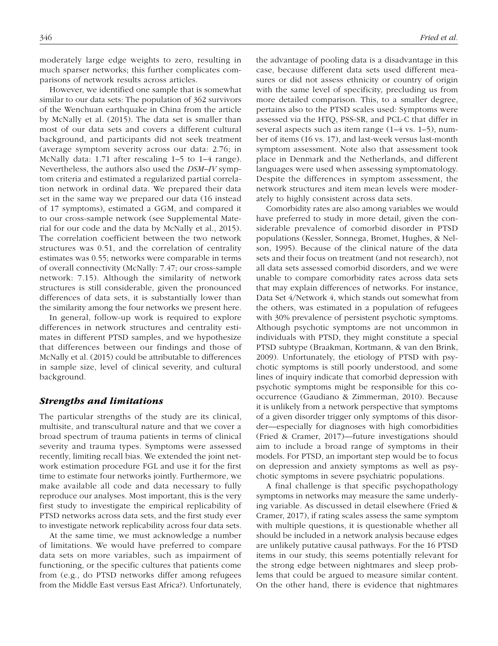moderately large edge weights to zero, resulting in much sparser networks; this further complicates comparisons of network results across articles.

However, we identified one sample that is somewhat similar to our data sets: The population of 362 survivors of the Wenchuan earthquake in China from the article by McNally et al. (2015). The data set is smaller than most of our data sets and covers a different cultural background, and participants did not seek treatment (average symptom severity across our data: 2.76; in McNally data: 1.71 after rescaling 1–5 to 1–4 range). Nevertheless, the authors also used the *DSM–IV* symptom criteria and estimated a regularized partial correlation network in ordinal data. We prepared their data set in the same way we prepared our data (16 instead of 17 symptoms), estimated a GGM, and compared it to our cross-sample network (see Supplemental Material for our code and the data by McNally et al., 2015). The correlation coefficient between the two network structures was 0.51, and the correlation of centrality estimates was 0.55; networks were comparable in terms of overall connectivity (McNally: 7.47; our cross-sample network: 7.15). Although the similarity of network structures is still considerable, given the pronounced differences of data sets, it is substantially lower than the similarity among the four networks we present here.

In general, follow-up work is required to explore differences in network structures and centrality estimates in different PTSD samples, and we hypothesize that differences between our findings and those of McNally et al. (2015) could be attributable to differences in sample size, level of clinical severity, and cultural background.

# *Strengths and limitations*

The particular strengths of the study are its clinical, multisite, and transcultural nature and that we cover a broad spectrum of trauma patients in terms of clinical severity and trauma types. Symptoms were assessed recently, limiting recall bias. We extended the joint network estimation procedure FGL and use it for the first time to estimate four networks jointly. Furthermore, we make available all code and data necessary to fully reproduce our analyses. Most important, this is the very first study to investigate the empirical replicability of PTSD networks across data sets, and the first study ever to investigate network replicability across four data sets.

At the same time, we must acknowledge a number of limitations. We would have preferred to compare data sets on more variables, such as impairment of functioning, or the specific cultures that patients come from (e.g., do PTSD networks differ among refugees from the Middle East versus East Africa?). Unfortunately, the advantage of pooling data is a disadvantage in this case, because different data sets used different measures or did not assess ethnicity or country of origin with the same level of specificity, precluding us from more detailed comparison. This, to a smaller degree, pertains also to the PTSD scales used: Symptoms were assessed via the HTQ, PSS-SR, and PCL-C that differ in several aspects such as item range (1–4 vs. 1–5), number of items (16 vs. 17), and last-week versus last-month symptom assessment. Note also that assessment took place in Denmark and the Netherlands, and different languages were used when assessing symptomatology. Despite the differences in symptom assessment, the network structures and item mean levels were moderately to highly consistent across data sets.

Comorbidity rates are also among variables we would have preferred to study in more detail, given the considerable prevalence of comorbid disorder in PTSD populations (Kessler, Sonnega, Bromet, Hughes, & Nelson, 1995). Because of the clinical nature of the data sets and their focus on treatment (and not research), not all data sets assessed comorbid disorders, and we were unable to compare comorbidity rates across data sets that may explain differences of networks. For instance, Data Set 4/Network 4, which stands out somewhat from the others, was estimated in a population of refugees with 30% prevalence of persistent psychotic symptoms. Although psychotic symptoms are not uncommon in individuals with PTSD, they might constitute a special PTSD subtype (Braakman, Kortmann, & van den Brink, 2009). Unfortunately, the etiology of PTSD with psychotic symptoms is still poorly understood, and some lines of inquiry indicate that comorbid depression with psychotic symptoms might be responsible for this cooccurrence (Gaudiano & Zimmerman, 2010). Because it is unlikely from a network perspective that symptoms of a given disorder trigger only symptoms of this disorder—especially for diagnoses with high comorbidities (Fried & Cramer, 2017)—future investigations should aim to include a broad range of symptoms in their models. For PTSD, an important step would be to focus on depression and anxiety symptoms as well as psychotic symptoms in severe psychiatric populations.

A final challenge is that specific psychopathology symptoms in networks may measure the same underlying variable. As discussed in detail elsewhere (Fried & Cramer, 2017), if rating scales assess the same symptom with multiple questions, it is questionable whether all should be included in a network analysis because edges are unlikely putative causal pathways. For the 16 PTSD items in our study, this seems potentially relevant for the strong edge between nightmares and sleep problems that could be argued to measure similar content. On the other hand, there is evidence that nightmares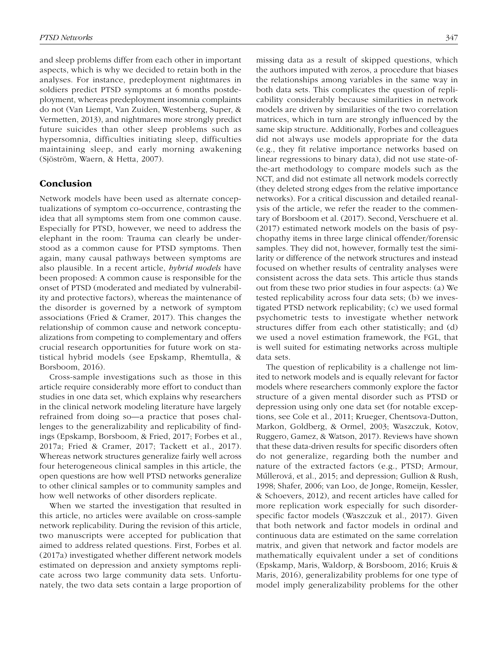and sleep problems differ from each other in important aspects, which is why we decided to retain both in the analyses. For instance, predeployment nightmares in soldiers predict PTSD symptoms at 6 months postdeployment, whereas predeployment insomnia complaints do not (Van Liempt, Van Zuiden, Westenberg, Super, & Vermetten, 2013), and nightmares more strongly predict future suicides than other sleep problems such as hypersomnia, difficulties initiating sleep, difficulties maintaining sleep, and early morning awakening (Sjöström, Waern, & Hetta, 2007).

# Conclusion

Network models have been used as alternate conceptualizations of symptom co-occurrence, contrasting the idea that all symptoms stem from one common cause. Especially for PTSD, however, we need to address the elephant in the room: Trauma can clearly be understood as a common cause for PTSD symptoms. Then again, many causal pathways between symptoms are also plausible. In a recent article, *hybrid models* have been proposed: A common cause is responsible for the onset of PTSD (moderated and mediated by vulnerability and protective factors), whereas the maintenance of the disorder is governed by a network of symptom associations (Fried & Cramer, 2017). This changes the relationship of common cause and network conceptualizations from competing to complementary and offers crucial research opportunities for future work on statistical hybrid models (see Epskamp, Rhemtulla, & Borsboom, 2016).

Cross-sample investigations such as those in this article require considerably more effort to conduct than studies in one data set, which explains why researchers in the clinical network modeling literature have largely refrained from doing so—a practice that poses challenges to the generalizability and replicability of findings (Epskamp, Borsboom, & Fried, 2017; Forbes et al., 2017a; Fried & Cramer, 2017; Tackett et al., 2017). Whereas network structures generalize fairly well across four heterogeneous clinical samples in this article, the open questions are how well PTSD networks generalize to other clinical samples or to community samples and how well networks of other disorders replicate.

When we started the investigation that resulted in this article, no articles were available on cross-sample network replicability. During the revision of this article, two manuscripts were accepted for publication that aimed to address related questions. First, Forbes et al. (2017a) investigated whether different network models estimated on depression and anxiety symptoms replicate across two large community data sets. Unfortunately, the two data sets contain a large proportion of missing data as a result of skipped questions, which the authors imputed with zeros, a procedure that biases the relationships among variables in the same way in both data sets. This complicates the question of replicability considerably because similarities in network models are driven by similarities of the two correlation matrices, which in turn are strongly influenced by the same skip structure. Additionally, Forbes and colleagues did not always use models appropriate for the data (e.g., they fit relative importance networks based on linear regressions to binary data), did not use state-ofthe-art methodology to compare models such as the NCT, and did not estimate all network models correctly (they deleted strong edges from the relative importance networks). For a critical discussion and detailed reanalysis of the article, we refer the reader to the commentary of Borsboom et al. (2017). Second, Verschuere et al. (2017) estimated network models on the basis of psychopathy items in three large clinical offender/forensic samples. They did not, however, formally test the similarity or difference of the network structures and instead focused on whether results of centrality analyses were consistent across the data sets. This article thus stands out from these two prior studies in four aspects: (a) We tested replicability across four data sets; (b) we investigated PTSD network replicability; (c) we used formal psychometric tests to investigate whether network structures differ from each other statistically; and (d) we used a novel estimation framework, the FGL, that is well suited for estimating networks across multiple data sets.

The question of replicability is a challenge not limited to network models and is equally relevant for factor models where researchers commonly explore the factor structure of a given mental disorder such as PTSD or depression using only one data set (for notable exceptions, see Cole et al., 2011; Krueger, Chentsova-Dutton, Markon, Goldberg, & Ormel, 2003; Waszczuk, Kotov, Ruggero, Gamez, & Watson, 2017). Reviews have shown that these data-driven results for specific disorders often do not generalize, regarding both the number and nature of the extracted factors (e.g., PTSD; Armour, Műllerová, et al., 2015; and depression; Gullion & Rush, 1998; Shafer, 2006; van Loo, de Jonge, Romeijn, Kessler, & Schoevers, 2012), and recent articles have called for more replication work especially for such disorderspecific factor models (Waszczuk et al., 2017). Given that both network and factor models in ordinal and continuous data are estimated on the same correlation matrix, and given that network and factor models are mathematically equivalent under a set of conditions (Epskamp, Maris, Waldorp, & Borsboom, 2016; Kruis & Maris, 2016), generalizability problems for one type of model imply generalizability problems for the other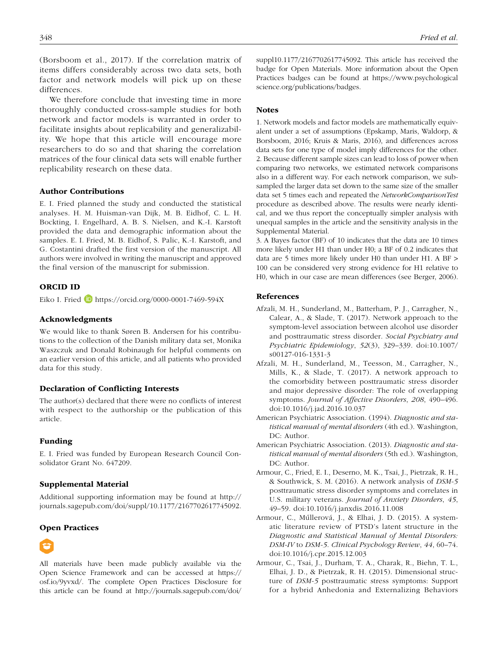(Borsboom et al., 2017). If the correlation matrix of items differs considerably across two data sets, both factor and network models will pick up on these differences.

We therefore conclude that investing time in more thoroughly conducted cross-sample studies for both network and factor models is warranted in order to facilitate insights about replicability and generalizability. We hope that this article will encourage more researchers to do so and that sharing the correlation matrices of the four clinical data sets will enable further replicability research on these data.

## Author Contributions

E. I. Fried planned the study and conducted the statistical analyses. H. M. Huisman-van Dijk, M. B. Eidhof, C. L. H. Bockting, I. Engelhard, A. B. S. Nielsen, and K.-I. Karstoft provided the data and demographic information about the samples. E. I. Fried, M. B. Eidhof, S. Palic, K.-I. Karstoft, and G. Costantini drafted the first version of the manuscript. All authors were involved in writing the manuscript and approved the final version of the manuscript for submission.

## ORCID iD

Eiko I. Fried D [https://orcid.org/0](https://orcid.org/0000-0001-7469-594X)000-0001-7469-594X

## Acknowledgments

We would like to thank Søren B. Andersen for his contributions to the collection of the Danish military data set, Monika Waszczuk and Donald Robinaugh for helpful comments on an earlier version of this article, and all patients who provided data for this study.

## Declaration of Conflicting Interests

The author(s) declared that there were no conflicts of interest with respect to the authorship or the publication of this article.

## Funding

E. I. Fried was funded by European Research Council Consolidator Grant No. 647209.

#### Supplemental Material

Additional supporting information may be found at http:// journals.sagepub.com/doi/suppl/10.1177/2167702617745092.

## Open Practices

All materials have been made publicly available via the Open Science Framework and can be accessed at [https://](https://osf.io/9yvxd/) [osf.io/](https://osf.io/9yvxd/)9yvxd/. The complete Open Practices Disclosure for this article can be found at [http://journals.sagepub.com/doi/](http://journals.sagepub.com/doi/suppl10.1177/2167702617745092) [suppl10.1177/2167702617745092.](http://journals.sagepub.com/doi/suppl10.1177/2167702617745092) This article has received the badge for Open Materials. More information about the Open Practices badges can be found at [https://www.psychological](https://www.psychologicalscience.org/publications/badges) [science.org/publications/badges](https://www.psychologicalscience.org/publications/badges).

#### **Notes**

1. Network models and factor models are mathematically equivalent under a set of assumptions (Epskamp, Maris, Waldorp, & Borsboom, 2016; Kruis & Maris, 2016), and differences across data sets for one type of model imply differences for the other. 2. Because different sample sizes can lead to loss of power when comparing two networks, we estimated network comparisons also in a different way. For each network comparison, we subsampled the larger data set down to the same size of the smaller data set 5 times each and repeated the *NetworkComparisonTest* procedure as described above. The results were nearly identical, and we thus report the conceptually simpler analysis with unequal samples in the article and the sensitivity analysis in the Supplemental Material.

3. A Bayes factor (BF) of 10 indicates that the data are 10 times more likely under H1 than under H0; a BF of 0.2 indicates that data are 5 times more likely under H0 than under H1. A BF > 100 can be considered very strong evidence for H1 relative to H0, which in our case are mean differences (see Berger, 2006).

### References

- Afzali, M. H., Sunderland, M., Batterham, P. J., Carragher, N., Calear, A., & Slade, T. (2017). Network approach to the symptom-level association between alcohol use disorder and posttraumatic stress disorder. *Social Psychiatry and Psychiatric Epidemiology*, *52*(3), 329–339. doi:10.1007/ s00127-016-1331-3
- Afzali, M. H., Sunderland, M., Teesson, M., Carragher, N., Mills, K., & Slade, T. (2017). A network approach to the comorbidity between posttraumatic stress disorder and major depressive disorder: The role of overlapping symptoms. *Journal of Affective Disorders*, *208*, 490–496. doi:10.1016/j.jad.2016.10.037
- American Psychiatric Association. (1994). *Diagnostic and statistical manual of mental disorders* (4th ed.). Washington, DC: Author.
- American Psychiatric Association. (2013). *Diagnostic and statistical manual of mental disorders* (5th ed.). Washington, DC: Author.
- Armour, C., Fried, E. I., Deserno, M. K., Tsai, J., Pietrzak, R. H., & Southwick, S. M. (2016). A network analysis of *DSM-5* posttraumatic stress disorder symptoms and correlates in U.S. military veterans. *Journal of Anxiety Disorders*, *45*, 49–59. doi:10.1016/j.janxdis.2016.11.008
- Armour, C., Műllerová, J., & Elhai, J. D. (2015). A systematic literature review of PTSD's latent structure in the *Diagnostic and Statistical Manual of Mental Disorders: DSM-IV* to *DSM-5*. *Clinical Psychology Review*, *44*, 60–74. doi:10.1016/j.cpr.2015.12.003
- Armour, C., Tsai, J., Durham, T. A., Charak, R., Biehn, T. L., Elhai, J. D., & Pietrzak, R. H. (2015). Dimensional structure of *DSM-5* posttraumatic stress symptoms: Support for a hybrid Anhedonia and Externalizing Behaviors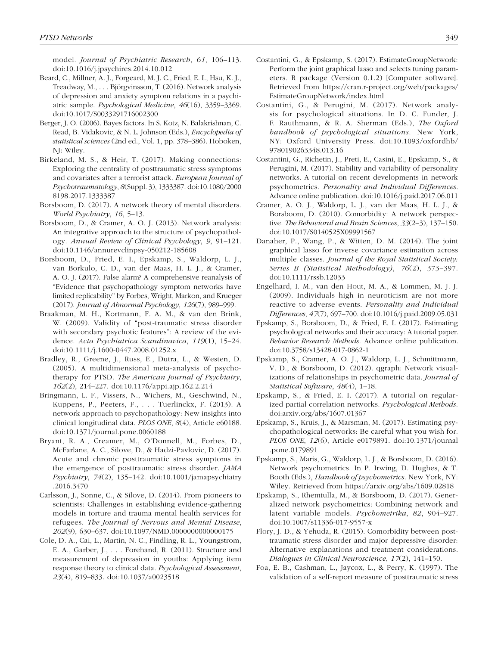model. *Journal of Psychiatric Research*, *61*, 106–113. doi:10.1016/j.jpsychires.2014.10.012

- Beard, C., Millner, A. J., Forgeard, M. J. C., Fried, E. I., Hsu, K. J., Treadway, M., . . . Björgvinsson, T. (2016). Network analysis of depression and anxiety symptom relations in a psychiatric sample. *Psychological Medicine*, *46*(16), 3359–3369. doi:10.1017/S0033291716002300
- Berger, J. O. (2006). Bayes factors. In S. Kotz, N. Balakrishnan, C. Read, B. Vidakovic, & N. L. Johnson (Eds.), *Encyclopedia of statistical sciences* (2nd ed., Vol. 1, pp. 378–386). Hoboken, NJ: Wiley.
- Birkeland, M. S., & Heir, T. (2017). Making connections: Exploring the centrality of posttraumatic stress symptoms and covariates after a terrorist attack. *European Journal of Psychotraumatology*, *8*(Suppl. 3), 1333387. doi:10.1080/2000 8198.2017.1333387
- Borsboom, D. (2017). A network theory of mental disorders. *World Psychiatry*, *16*, 5–13.
- Borsboom, D., & Cramer, A. O. J. (2013). Network analysis: An integrative approach to the structure of psychopathology. *Annual Review of Clinical Psychology*, *9*, 91–121. doi:10.1146/annurevclinpsy-050212-185608
- Borsboom, D., Fried, E. I., Epskamp, S., Waldorp, L. J., van Borkulo, C. D., van der Maas, H. L. J., & Cramer, A. O. J. (2017). False alarm? A comprehensive reanalysis of "Evidence that psychopathology symptom networks have limited replicability" by Forbes, Wright, Markon, and Krueger (2017). *Journal of Abnormal Psychology*, *126*(7), 989–999.
- Braakman, M. H., Kortmann, F. A. M., & van den Brink, W. (2009). Validity of "post-traumatic stress disorder with secondary psychotic features": A review of the evidence. *Acta Psychiatrica Scandinavica*, *119*(1), 15–24. doi:10.1111/j.1600-0447.2008.01252.x
- Bradley, R., Greene, J., Russ, E., Dutra, L., & Westen, D. (2005). A multidimensional meta-analysis of psychotherapy for PTSD. *The American Journal of Psychiatry*, *162*(2), 214–227. doi:10.1176/appi.ajp.162.2.214
- Bringmann, L. F., Vissers, N., Wichers, M., Geschwind, N., Kuppens, P., Peeters, F., . . . Tuerlinckx, F. (2013). A network approach to psychopathology: New insights into clinical longitudinal data. *PLoS One*, *8*(4), Article e60188. doi:10.1371/journal.pone.0060188
- Bryant, R. A., Creamer, M., O'Donnell, M., Forbes, D., McFarlane, A. C., Silove, D., & Hadzi-Pavlovic, D. (2017). Acute and chronic posttraumatic stress symptoms in the emergence of posttraumatic stress disorder. *JAMA Psychiatry*, *74*(2), 135–142. doi:10.1001/jamapsychiatry .2016.3470
- Carlsson, J., Sonne, C., & Silove, D. (2014). From pioneers to scientists: Challenges in establishing evidence-gathering models in torture and trauma mental health services for refugees. *The Journal of Nervous and Mental Disease*, *202*(9), 630–637. doi:10.1097/NMD.0000000000000175
- Cole, D. A., Cai, L., Martin, N. C., Findling, R. L., Youngstrom, E. A., Garber, J., . . . Forehand, R. (2011). Structure and measurement of depression in youths: Applying item response theory to clinical data. *Psychological Assessment*, *23*(4), 819–833. doi:10.1037/a0023518
- Costantini, G., & Epskamp, S. (2017). EstimateGroupNetwork: Perform the joint graphical lasso and selects tuning parameters. R package (Version 0.1.2) [Computer software]. Retrieved from https://cran.r-project.org/web/packages/ EstimateGroupNetwork/index.html
- Costantini, G., & Perugini, M. (2017). Network analysis for psychological situations. In D. C. Funder, J. F. Rauthmann, & R. A. Sherman (Eds.), *The Oxford handbook of psychological situations*. New York, NY: Oxford University Press. doi:10.1093/oxfordhb/ 9780190263348.013.16
- Costantini, G., Richetin, J., Preti, E., Casini, E., Epskamp, S., & Perugini, M. (2017). Stability and variability of personality networks. A tutorial on recent developments in network psychometrics. *Personality and Individual Differences*. Advance online publication. doi:10.1016/j.paid.2017.06.011
- Cramer, A. O. J., Waldorp, L. J., van der Maas, H. L. J., & Borsboom, D. (2010). Comorbidity: A network perspective. *The Behavioral and Brain Sciences*, *33*(2–3), 137–150. doi:10.1017/S0140525X09991567
- Danaher, P., Wang, P., & Witten, D. M. (2014). The joint graphical lasso for inverse covariance estimation across multiple classes. *Journal of the Royal Statistical Society: Series B (Statistical Methodology)*, *76*(2), 373–397. doi:10.1111/rssb.12033
- Engelhard, I. M., van den Hout, M. A., & Lommen, M. J. J. (2009). Individuals high in neuroticism are not more reactive to adverse events. *Personality and Individual Differences*, *47*(7), 697–700. doi:10.1016/j.paid.2009.05.031
- Epskamp, S., Borsboom, D., & Fried, E. I. (2017). Estimating psychological networks and their accuracy: A tutorial paper. *Behavior Research Methods*. Advance online publication. doi:10.3758/s13428-017-0862-1
- Epskamp, S., Cramer, A. O. J., Waldorp, L. J., Schmittmann, V. D., & Borsboom, D. (2012). qgraph: Network visualizations of relationships in psychometric data. *Journal of Statistical Software*, *48*(4), 1–18.
- Epskamp, S., & Fried, E. I. (2017). A tutorial on regularized partial correlation networks. *Psychological Methods*. doi:arxiv.org/abs/1607.01367
- Epskamp, S., Kruis, J., & Marsman, M. (2017). Estimating psychopathological networks: Be careful what you wish for. *PLoS One*, *12*(6), Article e0179891. doi:10.1371/journal .pone.0179891
- Epskamp, S., Maris, G., Waldorp, L. J., & Borsboom, D. (2016). Network psychometrics. In P. Irwing, D. Hughes, & T. Booth (Eds.), *Handbook of psychometrics*. New York, NY: Wiley. Retrieved from https://arxiv.org/abs/1609.02818
- Epskamp, S., Rhemtulla, M., & Borsboom, D. (2017). Generalized network psychometrics: Combining network and latent variable models. *Psychometrika*, *82*, 904–927. doi:10.1007/s11336-017-9557-x
- Flory, J. D., & Yehuda, R. (2015). Comorbidity between posttraumatic stress disorder and major depressive disorder: Alternative explanations and treatment considerations. *Dialogues in Clinical Neuroscience*, *17*(2), 141–150.
- Foa, E. B., Cashman, L., Jaycox, L., & Perry, K. (1997). The validation of a self-report measure of posttraumatic stress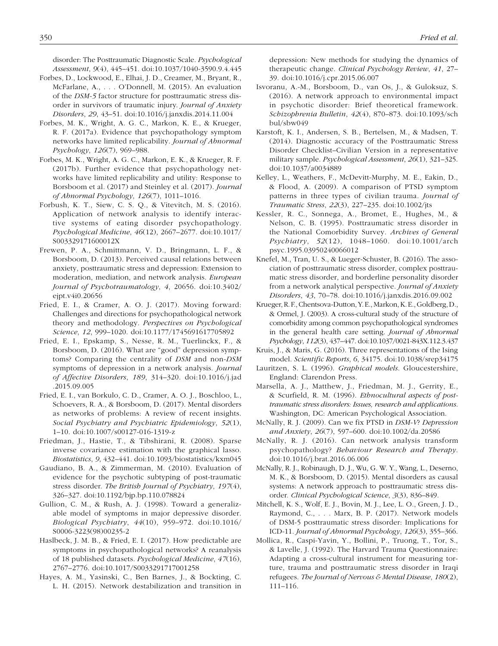disorder: The Posttraumatic Diagnostic Scale. *Psychological Assessment*, *9*(4), 445–451. doi:10.1037/1040-3590.9.4.445

- Forbes, D., Lockwood, E., Elhai, J. D., Creamer, M., Bryant, R., McFarlane, A., . . . O'Donnell, M. (2015). An evaluation of the *DSM-5* factor structure for posttraumatic stress disorder in survivors of traumatic injury. *Journal of Anxiety Disorders*, *29*, 43–51. doi:10.1016/j.janxdis.2014.11.004
- Forbes, M. K., Wright, A. G. C., Markon, K. E., & Krueger, R. F. (2017a). Evidence that psychopathology symptom networks have limited replicability. *Journal of Abnormal Psychology*, *126*(7), 969–988.
- Forbes, M. K., Wright, A. G. C., Markon, E. K., & Krueger, R. F. (2017b). Further evidence that psychopathology networks have limited replicability and utility: Response to Borsboom et al. (2017) and Steinley et al. (2017). *Journal of Abnormal Psychology*, *126*(7), 1011–1016.
- Forbush, K. T., Siew, C. S. Q., & Vitevitch, M. S. (2016). Application of network analysis to identify interactive systems of eating disorder psychopathology. *Psychological Medicine*, *46*(12), 2667–2677. doi:10.1017/ S003329171600012X
- Frewen, P. A., Schmittmann, V. D., Bringmann, L. F., & Borsboom, D. (2013). Perceived causal relations between anxiety, posttraumatic stress and depression: Extension to moderation, mediation, and network analysis. *European Journal of Psychotraumatology*, *4*, 20656. doi:10.3402/ ejpt.v4i0.20656
- Fried, E. I., & Cramer, A. O. J. (2017). Moving forward: Challenges and directions for psychopathological network theory and methodology. *Perspectives on Psychological Science*, *12*, 999–1020. doi:10.1177/1745691617705892
- Fried, E. I., Epskamp, S., Nesse, R. M., Tuerlinckx, F., & Borsboom, D. (2016). What are "good" depression symptoms? Comparing the centrality of *DSM* and non-*DSM* symptoms of depression in a network analysis. *Journal of Affective Disorders*, *189*, 314–320. doi:10.1016/j.jad .2015.09.005
- Fried, E. I., van Borkulo, C. D., Cramer, A. O. J., Boschloo, L., Schoevers, R. A., & Borsboom, D. (2017). Mental disorders as networks of problems: A review of recent insights. *Social Psychiatry and Psychiatric Epidemiology*, *52*(1), 1–10. doi:10.1007/s00127-016-1319-z
- Friedman, J., Hastie, T., & Tibshirani, R. (2008). Sparse inverse covariance estimation with the graphical lasso. *Biostatistics*, *9*, 432–441. doi:10.1093/biostatistics/kxm045
- Gaudiano, B. A., & Zimmerman, M. (2010). Evaluation of evidence for the psychotic subtyping of post-traumatic stress disorder. *The British Journal of Psychiatry*, *197*(4), 326–327. doi:10.1192/bjp.bp.110.078824
- Gullion, C. M., & Rush, A. J. (1998). Toward a generalizable model of symptoms in major depressive disorder. *Biological Psychiatry*, *44*(10), 959–972. doi:10.1016/ S0006-3223(98)00235-2
- Haslbeck, J. M. B., & Fried, E. I. (2017). How predictable are symptoms in psychopathological networks? A reanalysis of 18 published datasets. *Psychological Medicine*, *47*(16), 2767–2776. doi:10.1017/S0033291717001258
- Hayes, A. M., Yasinski, C., Ben Barnes, J., & Bockting, C. L. H. (2015). Network destabilization and transition in

depression: New methods for studying the dynamics of therapeutic change. *Clinical Psychology Review*, *41*, 27– 39. doi:10.1016/j.cpr.2015.06.007

- Isvoranu, A.-M., Borsboom, D., van Os, J., & Guloksuz, S. (2016). A network approach to environmental impact in psychotic disorder: Brief theoretical framework. *Schizophrenia Bulletin*, *42*(4), 870–873. doi:10.1093/sch bul/sbw049
- Karstoft, K. I., Andersen, S. B., Bertelsen, M., & Madsen, T. (2014). Diagnostic accuracy of the Posttraumatic Stress Disorder Checklist–Civilian Version in a representative military sample. *Psychological Assessment*, *26*(1), 321–325. doi:10.1037/a0034889
- Kelley, L., Weathers, F., McDevitt-Murphy, M. E., Eakin, D., & Flood, A. (2009). A comparison of PTSD symptom patterns in three types of civilian trauma. *Journal of Traumatic Stress*, *22*(3), 227–235. doi:10.1002/jts
- Kessler, R. C., Sonnega, A., Bromet, E., Hughes, M., & Nelson, C. B. (1995). Posttraumatic stress disorder in the National Comorbidity Survey. *Archives of General Psychiatry*, *52*(12), 1048–1060. doi:10.1001/arch psyc.1995.03950240066012
- Knefel, M., Tran, U. S., & Lueger-Schuster, B. (2016). The association of posttraumatic stress disorder, complex posttraumatic stress disorder, and borderline personality disorder from a network analytical perspective. *Journal of Anxiety Disorders*, *43*, 70–78. doi:10.1016/j.janxdis.2016.09.002
- Krueger, R. F., Chentsova-Dutton, Y. E., Markon, K. E., Goldberg, D., & Ormel, J. (2003). A cross-cultural study of the structure of comorbidity among common psychopathological syndromes in the general health care setting. *Journal of Abnormal Psychology*, *112*(3), 437–447. doi:10.1037/0021-843X.112.3.437
- Kruis, J., & Maris, G. (2016). Three representations of the Ising model. *Scientific Reports*, *6*, 34175. doi:10.1038/srep34175
- Lauritzen, S. L. (1996). *Graphical models*. Gloucestershire, England: Clarendon Press.
- Marsella, A. J., Matthew, J., Friedman, M. J., Gerrity, E., & Scurfield, R. M. (1996). *Ethnocultural aspects of posttraumatic stress disorders: Issues, research and applications*. Washington, DC: American Psychological Association.
- McNally, R. J. (2009). Can we fix PTSD in *DSM-V*? *Depression and Anxiety*, *26*(7), 597–600. doi:10.1002/da.20586
- McNally, R. J. (2016). Can network analysis transform psychopathology? *Behaviour Research and Therapy*. doi:10.1016/j.brat.2016.06.006
- McNally, R. J., Robinaugh, D. J., Wu, G. W. Y., Wang, L., Deserno, M. K., & Borsboom, D. (2015). Mental disorders as causal systems: A network approach to posttraumatic stress disorder. *Clinical Psychological Science*, *3*(3), 836–849.
- Mitchell, K. S., Wolf, E. J., Bovin, M. J., Lee, L. O., Green, J. D., Raymond, C., . . . Marx, B. P. (2017). Network models of DSM-5 posttraumatic stress disorder: Implications for ICD-11. *Journal of Abnormal Psychology*, *126*(3), 355–366.
- Mollica, R., Caspi-Yavin, Y., Bollini, P., Truong, T., Tor, S., & Lavelle, J. (1992). The Harvard Trauma Questionnaire: Adapting a cross-cultural instrument for measuring torture, trauma and posttraumatic stress disorder in Iraqi refugees. *The Journal of Nervous & Mental Disease*, *180*(2), 111–116.